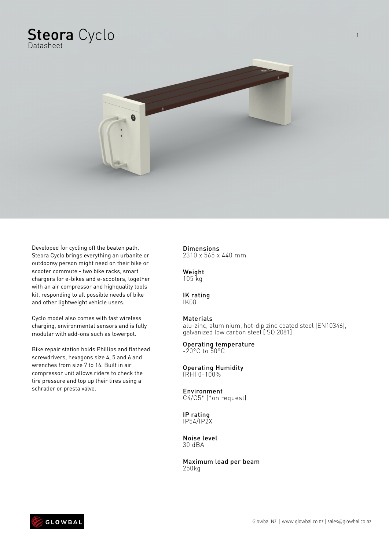# Steora Cyclo

Datasheet



Cyclo model also comes with fast wireless charging, environmental sensors and is fully modular with add-ons such as lowerpot.

Bike repair station holds Phillips and flathead screwdrivers, hexagons size 4, 5 and 6 and wrenches from size 7 to 16. Built in air compressor unit allows riders to check the tire pressure and top up their tires using a schrader or presta valve.

#### **Dimensions**

2310 x 565 x 440 mm

Weight 105 kg

#### IK rating IK08

Materials

alu-zinc, aluminium, hot-dip zinc coated steel [EN10346], galvanized low carbon steel [ISO 2081]

Operating temperature -20°C to 50°C

Operating Humidity (RH) 0-100%

Environment C4/C5\* (\*on request)

IP rating IP54/IP2X

Noise level 30 dBA

Maximum load per beam 250kg



1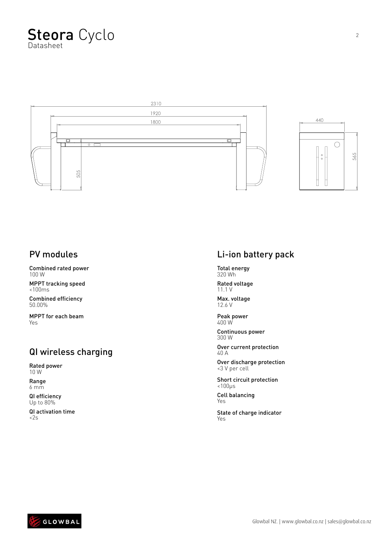# Steora Cyclo Datasheet





#### PV modules

Combined rated power 100 W

MPPT tracking speed <100ms

Combined efficiency 50.00%

MPPT for each beam Yes

# QI wireless charging

Rated power 10 W

Range 6 mm

QI efficiency Up to 80%

QI activation time  $<2s$ 

# Li-ion battery pack

Total energy 320 Wh Rated voltage 11.1 V

Max. voltage 12.6 V

Peak power 400 W

Continuous power 300 W

Over current protection 40 A

Over discharge protection <3 V per cell

Short circuit protection <100μs Cell balancing

Yes

State of charge indicator Yes